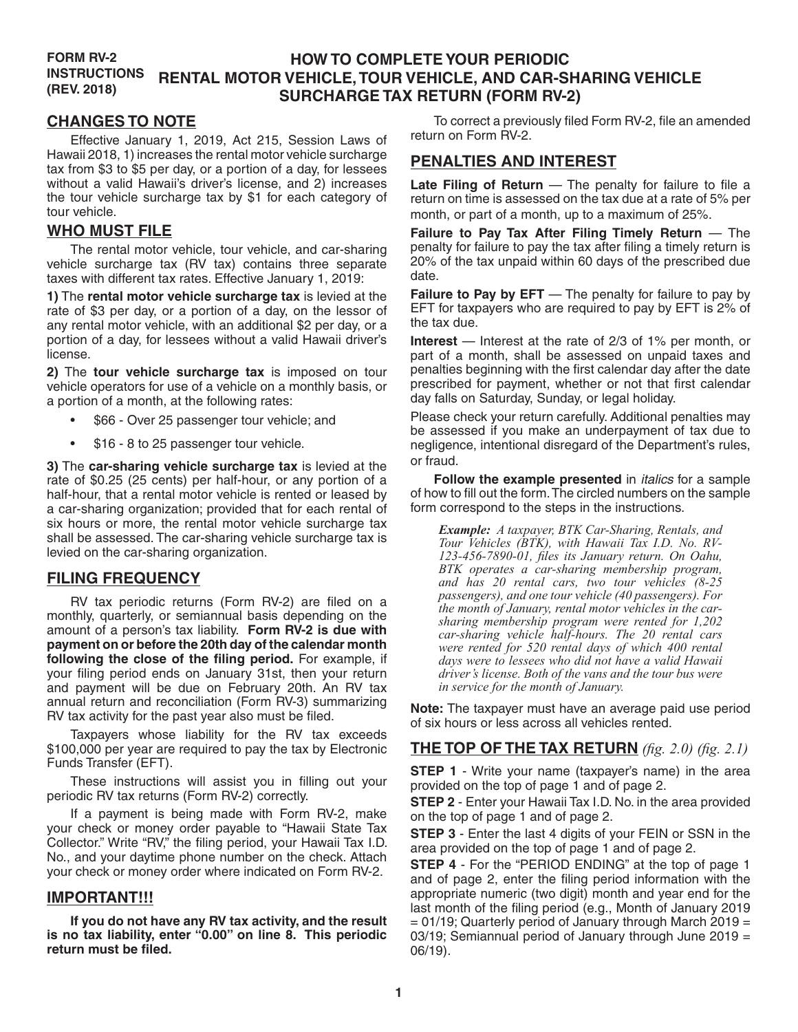#### **FORM RV-2 INSTRUCTIONS (REV. 2018) HOW TO COMPLETE YOUR PERIODIC RENTAL MOTOR VEHICLE, TOUR VEHICLE, AND CAR-SHARING VEHICLE SURCHARGE TAX RETURN (FORM RV-2)**

## **CHANGES TO NOTE**

Effective January 1, 2019, Act 215, Session Laws of Hawaii 2018, 1) increases the rental motor vehicle surcharge tax from \$3 to \$5 per day, or a portion of a day, for lessees without a valid Hawaii's driver's license, and 2) increases the tour vehicle surcharge tax by \$1 for each category of tour vehicle.

### **WHO MUST FILE**

The rental motor vehicle, tour vehicle, and car-sharing vehicle surcharge tax (RV tax) contains three separate taxes with different tax rates. Effective January 1, 2019:

**1)** The **rental motor vehicle surcharge tax** is levied at the rate of \$3 per day, or a portion of a day, on the lessor of any rental motor vehicle, with an additional \$2 per day, or a portion of a day, for lessees without a valid Hawaii driver's license.

**2)** The **tour vehicle surcharge tax** is imposed on tour vehicle operators for use of a vehicle on a monthly basis, or a portion of a month, at the following rates:

- \$66 Over 25 passenger tour vehicle; and
- \$16 8 to 25 passenger tour vehicle.

**3)** The **car-sharing vehicle surcharge tax** is levied at the rate of \$0.25 (25 cents) per half-hour, or any portion of a half-hour, that a rental motor vehicle is rented or leased by a car-sharing organization; provided that for each rental of six hours or more, the rental motor vehicle surcharge tax shall be assessed. The car-sharing vehicle surcharge tax is levied on the car-sharing organization.

# **FILING FREQUENCY**

RV tax periodic returns (Form RV-2) are filed on a monthly, quarterly, or semiannual basis depending on the amount of a person's tax liability. **Form RV-2 is due with payment on or before the 20th day of the calendar month following the close of the filing period.** For example, if your filing period ends on January 31st, then your return and payment will be due on February 20th. An RV tax annual return and reconciliation (Form RV-3) summarizing RV tax activity for the past year also must be filed.

Taxpayers whose liability for the RV tax exceeds \$100,000 per year are required to pay the tax by Electronic Funds Transfer (EFT).

These instructions will assist you in filling out your periodic RV tax returns (Form RV-2) correctly.

If a payment is being made with Form RV-2, make your check or money order payable to "Hawaii State Tax Collector." Write "RV," the filing period, your Hawaii Tax I.D. No., and your daytime phone number on the check. Attach your check or money order where indicated on Form RV-2.

#### **IMPORTANT!!!**

**If you do not have any RV tax activity, and the result is no tax liability, enter "0.00" on line 8. This periodic return must be filed.**

To correct a previously filed Form RV-2, file an amended return on Form RV-2.

### **PENALTIES AND INTEREST**

**Late Filing of Return** — The penalty for failure to file a return on time is assessed on the tax due at a rate of 5% per month, or part of a month, up to a maximum of 25%.

**Failure to Pay Tax After Filing Timely Return** — The penalty for failure to pay the tax after filing a timely return is 20% of the tax unpaid within 60 days of the prescribed due date.

**Failure to Pay by EFT** — The penalty for failure to pay by EFT for taxpayers who are required to pay by EFT is 2% of the tax due.

**Interest** — Interest at the rate of 2/3 of 1% per month, or part of a month, shall be assessed on unpaid taxes and penalties beginning with the first calendar day after the date prescribed for payment, whether or not that first calendar day falls on Saturday, Sunday, or legal holiday.

Please check your return carefully. Additional penalties may be assessed if you make an underpayment of tax due to negligence, intentional disregard of the Department's rules, or fraud.

**Follow the example presented** in *italics* for a sample of how to fill out the form. The circled numbers on the sample form correspond to the steps in the instructions.

*Example: A taxpayer, BTK Car-Sharing, Rentals, and Tour Vehicles (BTK), with Hawaii Tax I.D. No. RV-123-456-7890-01, files its January return. On Oahu, BTK operates a car-sharing membership program, and has 20 rental cars, two tour vehicles (8-25 passengers), and one tour vehicle (40 passengers). For the month of January, rental motor vehicles in the carsharing membership program were rented for 1,202 car-sharing vehicle half-hours. The 20 rental cars were rented for 520 rental days of which 400 rental days were to lessees who did not have a valid Hawaii driver's license. Both of the vans and the tour bus were in service for the month of January.*

**Note:** The taxpayer must have an average paid use period of six hours or less across all vehicles rented.

# **THE TOP OF THE TAX RETURN** *(fig. 2.0) (fig. 2.1)*

**STEP 1** - Write your name (taxpayer's name) in the area provided on the top of page 1 and of page 2.

**STEP 2** - Enter your Hawaii Tax I.D. No. in the area provided on the top of page 1 and of page 2.

**STEP 3** - Enter the last 4 digits of your FEIN or SSN in the area provided on the top of page 1 and of page 2.

**STEP 4** - For the "PERIOD ENDING" at the top of page 1 and of page 2, enter the filing period information with the appropriate numeric (two digit) month and year end for the last month of the filing period (e.g., Month of January 2019  $= 01/19$ ; Quarterly period of January through March 2019 = 03/19; Semiannual period of January through June 2019 = 06/19).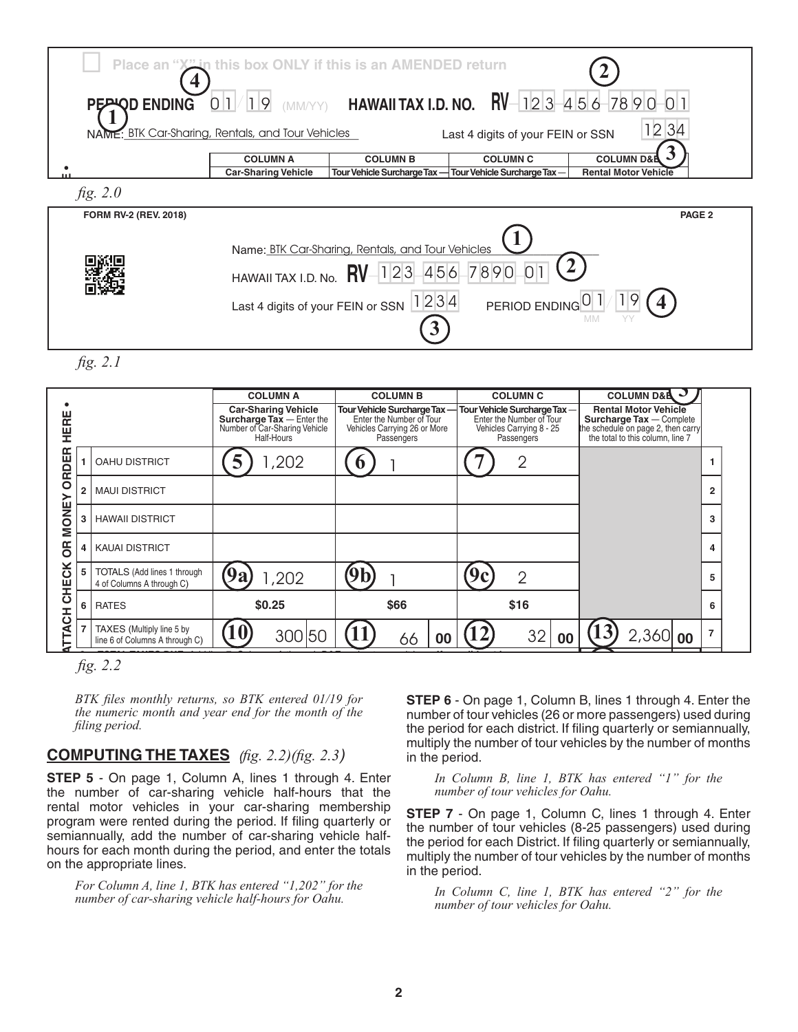| PEAND ENDING          | Place an "X" in this box ONLY if this is an AMENDED return<br>01/<br>19                            | (MM/YY) HAWAII TAX I.D. NO.                                                          |                                                                                     | $RV-123-456-789001$                                                            |
|-----------------------|----------------------------------------------------------------------------------------------------|--------------------------------------------------------------------------------------|-------------------------------------------------------------------------------------|--------------------------------------------------------------------------------|
|                       | NAME: BTK Car-Sharing, Rentals, and Tour Vehicles<br><b>COLUMN A</b><br><b>Car-Sharing Vehicle</b> | <b>COLUMN B</b><br>Tour Vehicle Surcharge Tax-                                       | Last 4 digits of your FEIN or SSN<br><b>COLUMN C</b><br>Tour Vehicle Surcharge Tax- | 12 34<br><b>COLUMN D&amp;B</b><br><b>Rental Motor Vehicle</b>                  |
| fig. 2.0              |                                                                                                    |                                                                                      |                                                                                     |                                                                                |
| FORM RV-2 (REV. 2018) | HAWAII TAX I.D. No.<br>Last 4 digits of your FEIN or SSN                                           | Name: BTK Car-Sharing, Rentals, and Tour Vehicles<br>1234567890<br><b>RV</b><br>1234 | PERIOD ENDING <sup>O</sup> 1                                                        | PAGE <sub>2</sub><br>19<br>MM                                                  |
| fig. 2.1              |                                                                                                    |                                                                                      |                                                                                     |                                                                                |
| ш                     | <b>COLUMN A</b><br><b>Car-Sharing Vehicle</b><br>Curcharge Tay Enter the                           | <b>COLUMN B</b><br>Tour Vehicle Surcharge Tax-<br>Entor the Number of Tour           | <b>COLUMN C</b><br>Tour Vehicle Surcharge Tax-<br>Enter the Number of Tour          | <b>COLUMN D&amp;A</b><br><b>Rental Motor Vehicle</b><br>Surehardo Tay Complete |

|                  |                                                             | <b>COLUMN A</b>                                                                                               | <b>COLUMN B</b>                                                                                       | <b>COLUMN C</b>                                                                                   | <b>COLUMN D&amp;A</b>                                                                                                             |                |
|------------------|-------------------------------------------------------------|---------------------------------------------------------------------------------------------------------------|-------------------------------------------------------------------------------------------------------|---------------------------------------------------------------------------------------------------|-----------------------------------------------------------------------------------------------------------------------------------|----------------|
| HERE             |                                                             | <b>Car-Sharing Vehicle</b><br><b>Surcharge Tax</b> - Enter the<br>Number of Car-Sharing Vehicle<br>Half-Hours | Tour Vehicle Surcharge Tax-<br>Enter the Number of Tour<br>Vehicles Carrying 26 or More<br>Passengers | Tour Vehicle Surcharge Tax-<br>Enter the Number of Tour<br>Vehicles Carrying 8 - 25<br>Passengers | <b>Rental Motor Vehicle</b><br>Surcharge Tax - Complete<br>the schedule on page 2, then carry<br>the total to this column, line 7 |                |
| œ<br>ORDEI       | <b>OAHU DISTRICT</b>                                        | ,202                                                                                                          |                                                                                                       | $\overline{2}$                                                                                    |                                                                                                                                   |                |
| 2<br>≻           | <b>MAUI DISTRICT</b>                                        |                                                                                                               |                                                                                                       |                                                                                                   |                                                                                                                                   | $\mathbf{2}$   |
| MONE<br>3        | <b>HAWAII DISTRICT</b>                                      |                                                                                                               |                                                                                                       |                                                                                                   |                                                                                                                                   | 3              |
| <b>B</b><br>4    | <b>KAUAI DISTRICT</b>                                       |                                                                                                               |                                                                                                       |                                                                                                   |                                                                                                                                   | 4              |
| ă<br>5<br>Ě      | TOTALS (Add lines 1 through<br>4 of Columns A through C)    | <b>9a</b><br>1,202                                                                                            |                                                                                                       | $\overline{2}$                                                                                    |                                                                                                                                   | 5              |
| ပ<br>6           | <b>RATES</b>                                                | \$0.25                                                                                                        | \$66                                                                                                  | \$16                                                                                              |                                                                                                                                   | 6              |
| <b>TACH</b><br>⋝ | TAXES (Multiply line 5 by<br>line 6 of Columns A through C) | $\mathbf 0$<br>300 50                                                                                         | 66<br>00                                                                                              | 32<br>00                                                                                          | $2,360$ 00                                                                                                                        | $\overline{7}$ |

**any activity for the period, enter "0.00" here**. . . . . . . . . . . . . . . . . . . . . . . . . . . . . . . . . . . . . . . . . . . . . . . . . . . . . **8** *fig. 2.2*  $\sim 2.2$ 

*BTK files monthly returns, so BTK entered 01/19 for the numeric month and year end for the month of the* **DECLARATION: DECLARATION: COLOGIST COLOGIST in the penalties of the penalties (26 or more passengers)** us *filing period.* provisions of the Rental Motor Vehicle, Tour Vehicle, and Car-Sharing Vehicle Surcharge Tax Law and the rules issued thereunder.

**STEP 5** - On page 1, Column A, lines 1 through 4. Enter *In Column B, line 1, BTK has entered "1" for th* the number of car-sharing vehicle half-hours that the rental motor vehicles in your car-sharing membership ST program were rented during the period. If filing quarterly or program were refited during the period: if limity quarterly of the<br>semiannually, add the number of car-sharing vehicle halfhours for each month during the period, and enter the totals  $\frac{15.0}{m}$ on the appropriate lines.

*For Column A, line 1, BTK has entered "1,202" for the* **16. Public order to the** *In Column C, line* For Column A, the 1, BTK has entered 1,202 for the last to In Column C, line<br>number of car-sharing vehicle half-hours for Oahu. per of car-sharing venicle half-hours for Oanu. The mumber of to

 **and tiply the number of tour vehicles by the number of m STEP 6** - On page 1, Column B, lines 1 through 4. Enter the number of tour vehicles (26 or more passengers) used during<br>the period for each district. If filing quarterly or comingnually filing period. The period for each district. If filing quarterly or semiannually, multiply the number of tour vehicles by the number of months in the period. **BETAXES** (*ftg. 2.2)*(*ftg. 2.3*) in the period.

> *In Column B, line 1, BTK has entered "1" for the number of tour vehicles for Oahu.* FORM RV-2 **80**

**1** INDIDIT VEHICLES IN YOUR CALUMNATION INTERNATION **STEP 7** - On page 1, Column C, lines 1 through 4. Enter the number of tour vehicles (8-25 passengers) used during **20** the period for each District. If filing quarterly or semiannually,  $\frac{1}{2}$  and  $\frac{1}{2}$  the period for each District. If filing quarterly or semiannually, multiply the number of tour vehicles by the number of months<br>in the period. in the period. Amended Returns, add lines 13 and 14) . . . . . . . . . . . . . . . . . . . . . . . . . . . . . . . . . . . . . . . . . . . . . . . . . . . . . . . . . . **15**

*In Column C, line 1, BTK has entered "2" for the number of tour vehicles for Oahu.* **22** Mail to: HAWAII DEPARTMENT OF TAXATION, P. O. Box 2430, Honolulu, HI 96804-2430. **If you are NOT submitting a**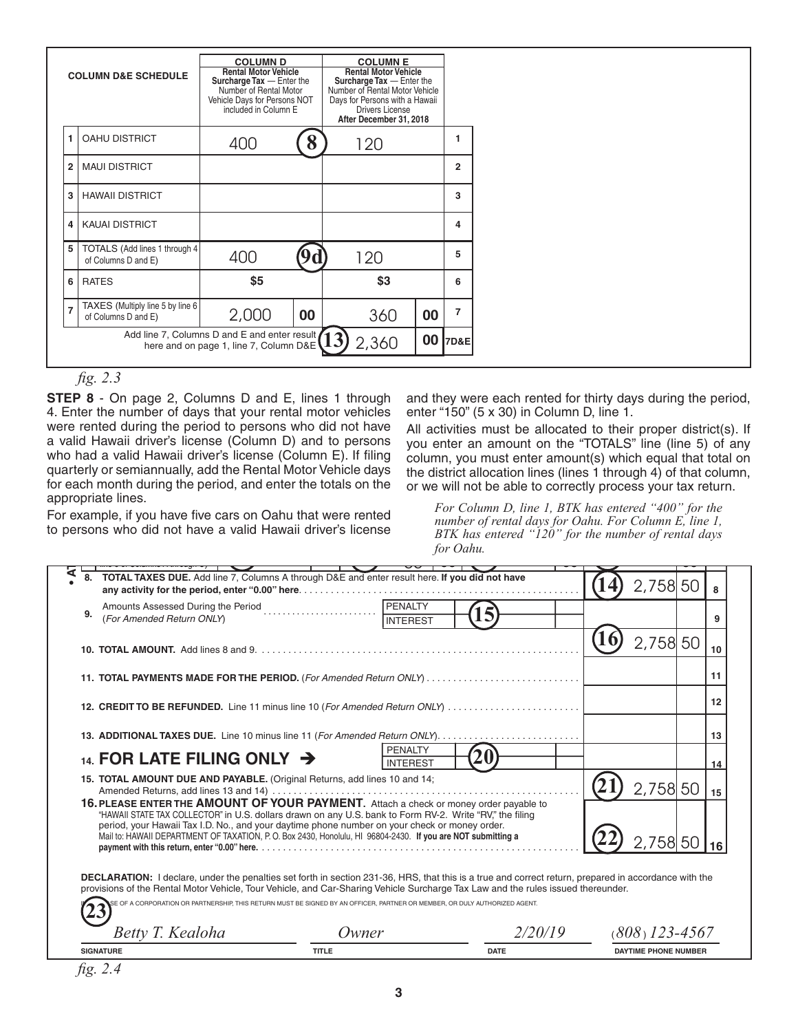|                | <b>COLUMN D</b><br><b>Rental Motor Vehicle</b><br><b>COLUMN D&amp;E SCHEDULE</b><br>Surcharge Tax - Enter the<br>Number of Rental Motor<br>Vehicle Days for Persons NOT<br>included in Column E |       | <b>COLUMN E</b><br><b>Rental Motor Vehicle</b><br>Surcharge Tax - Enter the<br>Number of Rental Motor Vehicle<br>Days for Persons with a Hawaii<br><b>Drivers License</b><br>After December 31, 2018 |     |    |                |
|----------------|-------------------------------------------------------------------------------------------------------------------------------------------------------------------------------------------------|-------|------------------------------------------------------------------------------------------------------------------------------------------------------------------------------------------------------|-----|----|----------------|
| 1.             | <b>OAHU DISTRICT</b>                                                                                                                                                                            | 400   | 8                                                                                                                                                                                                    | 120 |    |                |
| $\overline{2}$ | <b>MAUI DISTRICT</b>                                                                                                                                                                            |       |                                                                                                                                                                                                      |     |    | $\mathbf{2}$   |
| 3              | <b>HAWAII DISTRICT</b>                                                                                                                                                                          |       |                                                                                                                                                                                                      |     |    | 3              |
| 4              | <b>KAUAI DISTRICT</b>                                                                                                                                                                           |       |                                                                                                                                                                                                      |     |    | 4              |
| 5              | TOTALS (Add lines 1 through 4<br>of Columns D and E)                                                                                                                                            | 400   | 9d                                                                                                                                                                                                   | 120 |    | 5              |
| 6              | <b>RATES</b>                                                                                                                                                                                    | \$5   |                                                                                                                                                                                                      | \$3 |    | 6              |
| $\overline{7}$ | TAXES (Multiply line 5 by line 6<br>of Columns D and E)                                                                                                                                         | 2,000 | 00                                                                                                                                                                                                   | 360 | 00 | $\overline{7}$ |
|                | Add line 7, Columns D and E and enter result (13)<br>00<br>2,360<br>7D&E<br>here and on page 1, line 7, Column D&E                                                                              |       |                                                                                                                                                                                                      |     |    |                |

**Example 1** Add line 7, Columns D and E and enter result (13) 2,360 **00 7D&E**<br> **FP 8** - On page 2, Columns D and E, lines 1 through and they were each rented for thirty days during the per<br>
FP 8 - On page 2, Columns D a 4. Enter the number of days that your rental motor vehicles enter "150" (5 x 30) in Column D, line 1. appropriate lines. 1 of the lines.<br>
For Column D, line 1, BTK has entered "400" for the<br>
<sup>For Column D, line 1, BTK has entered "400" for the</sup> fig. 2.3<br>**STEP 8** - On page 2, Columns D and E, lines 1 through and they were each re **9a** 1,202 were rented during the period to persons who did not have a valid Hawaii driver's license (Column D) and to persons who had a valid Hawaii driver's license (Column E). If filing quarterly or semiannually, add the Rental Motor Vehicle days for each month during the period, and enter the totals on the

to persons who did not have a valid Hawaii driver's license https://www.aspirodium.com/communications/time inter For example, if you have five cars on Oahu that were rented

and they were each rented for thirty days during the period, enter "150" (5 x 30) in Column D, line 1.

Hawaii driver's license (Column D) and to persons you enter an amount on the "TOTALS" line (line 5) of any rly or semiannually, add the Rental Motor Vehicle days ,the district allocation lines (lines 1 through 4) of that column, All activities must be allocated to their proper district(s). If column, you must enter amount(s) which equal that total on or we will not be able to correctly process your tax return.

> **11 12 13 10** 300 50 2,360 *number of rental days for Oahu. For Column E, line 1, BTK has entered "120" for the number of rental days for Oahu.*

|    |                                                                                                                                                                                                                                                                                                                                                                                                                    | PENALTY                    |  |          |    |
|----|--------------------------------------------------------------------------------------------------------------------------------------------------------------------------------------------------------------------------------------------------------------------------------------------------------------------------------------------------------------------------------------------------------------------|----------------------------|--|----------|----|
| 9. | Amounts Assessed During the Period<br>1994 March 2004<br>(For Amended Return ONLY)                                                                                                                                                                                                                                                                                                                                 | INTEREST                   |  |          |    |
|    |                                                                                                                                                                                                                                                                                                                                                                                                                    |                            |  | 2,758 50 | 10 |
|    | 11. TOTAL PAYMENTS MADE FOR THE PERIOD. (For Amended Return ONLY)                                                                                                                                                                                                                                                                                                                                                  |                            |  |          | 11 |
|    | 12. CREDIT TO BE REFUNDED. Line 11 minus line 10 (For Amended Return ONLY)                                                                                                                                                                                                                                                                                                                                         |                            |  |          | 12 |
|    |                                                                                                                                                                                                                                                                                                                                                                                                                    |                            |  |          | 13 |
|    | 14. FOR LATE FILING ONLY $\rightarrow$                                                                                                                                                                                                                                                                                                                                                                             | PENALTY<br><b>INTEREST</b> |  |          | 14 |
|    | 15. TOTAL AMOUNT DUE AND PAYABLE. (Original Returns, add lines 10 and 14;                                                                                                                                                                                                                                                                                                                                          |                            |  | 2,758 50 | 15 |
|    | 16. PLEASE ENTER THE AMOUNT OF YOUR PAYMENT. Attach a check or money order payable to<br>"HAWAII STATE TAX COLLECTOR" in U.S. dollars drawn on any U.S. bank to Form RV-2. Write "RV," the filing<br>period, your Hawaii Tax I.D. No., and your daytime phone number on your check or money order.<br>Mail to: HAWAII DEPARTMENT OF TAXATION, P. O. Box 2430, Honolulu, HI 96804-2430. If you are NOT submitting a |                            |  | 2,758 50 |    |

| $\bm{\tau}$<br>$\sim$<br>ona | wner         |             | ร−⊿<br>$\check{ }$<br>$\checkmark$ |
|------------------------------|--------------|-------------|------------------------------------|
| <b>SIGNATURE</b>             | <b>TITLE</b> | <b>DATE</b> | <b>DAYTIME PHONE NUMBER</b>        |
| fig. 2.4                     |              |             |                                    |

*fig. 2.4* RV2\_C 2018A 01 VID01 ID NO 01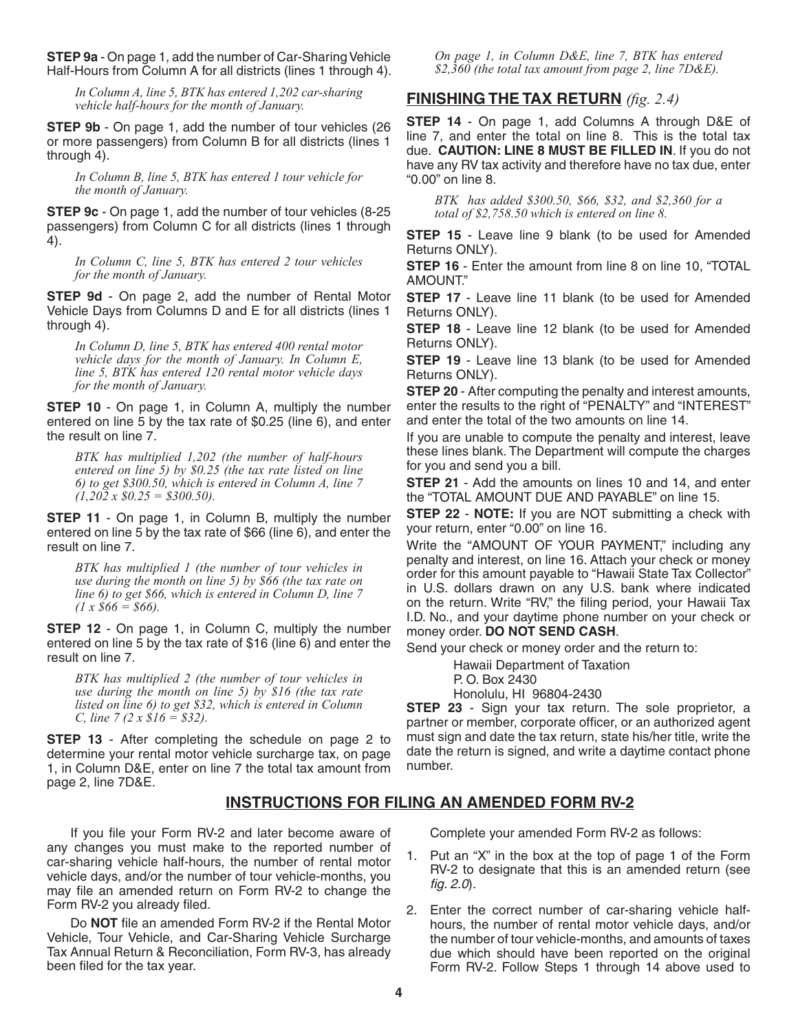**STEP 9a** - On page 1, add the number of Car-Sharing Vehicle Half-Hours from Column A for all districts (lines 1 through 4).

*In Column A, line 5, BTK has entered 1,202 car-sharing vehicle half-hours for the month of January.*

**STEP 9b** - On page 1, add the number of tour vehicles (26 or more passengers) from Column B for all districts (lines 1 through 4).

*In Column B, line 5, BTK has entered 1 tour vehicle for the month of January.*

**STEP 9c** - On page 1, add the number of tour vehicles (8-25 passengers) from Column C for all districts (lines 1 through 4).

*In Column C, line 5, BTK has entered 2 tour vehicles for the month of January.*

**STEP 9d** - On page 2, add the number of Rental Motor Vehicle Days from Columns D and E for all districts (lines 1 through 4).

*In Column D, line 5, BTK has entered 400 rental motor vehicle days for the month of January. In Column E, line 5, BTK has entered 120 rental motor vehicle days for the month of January.*

**STEP 10** - On page 1, in Column A, multiply the number entered on line 5 by the tax rate of \$0.25 (line 6), and enter the result on line 7.

*BTK has multiplied 1,202 (the number of half-hours entered on line 5) by \$0.25 (the tax rate listed on line 6) to get \$300.50, which is entered in Column A, line 7 (1,202 x \$0.25 = \$300.50).*

**STEP 11** - On page 1, in Column B, multiply the number entered on line 5 by the tax rate of \$66 (line 6), and enter the result on line 7.

*BTK has multiplied 1 (the number of tour vehicles in use during the month on line 5) by \$66 (the tax rate on line 6) to get \$66, which is entered in Column D, line 7 (1 x \$66 = \$66).*

**STEP 12** - On page 1, in Column C, multiply the number entered on line 5 by the tax rate of \$16 (line 6) and enter the result on line 7.

*BTK has multiplied 2 (the number of tour vehicles in use during the month on line 5) by \$16 (the tax rate listed on line 6) to get \$32, which is entered in Column C, line 7 (2 x \$16 = \$32).*

**STEP 13** - After completing the schedule on page 2 to determine your rental motor vehicle surcharge tax, on page 1, in Column D&E, enter on line 7 the total tax amount from page 2, line 7D&E.

*On page 1, in Column D&E, line 7, BTK has entered \$2,360 (the total tax amount from page 2, line 7D&E).*

# **FINISHING THE TAX RETURN** *(fig. 2.4)*

**STEP 14** - On page 1, add Columns A through D&E of line 7, and enter the total on line 8. This is the total tax due. **CAUTION: LINE 8 MUST BE FILLED IN**. If you do not have any RV tax activity and therefore have no tax due, enter "0.00" on line 8.

*BTK has added \$300.50, \$66, \$32, and \$2,360 for a total of \$2,758.50 which is entered on line 8.*

**STEP 15** - Leave line 9 blank (to be used for Amended Returns ONLY).

**STEP 16** - Enter the amount from line 8 on line 10, "TOTAL AMOUNT."

**STEP 17** - Leave line 11 blank (to be used for Amended Returns ONLY).

**STEP 18** - Leave line 12 blank (to be used for Amended Returns ONLY).

**STEP 19** - Leave line 13 blank (to be used for Amended Returns ONLY).

**STEP 20** - After computing the penalty and interest amounts, enter the results to the right of "PENALTY" and "INTEREST" and enter the total of the two amounts on line 14.

If you are unable to compute the penalty and interest, leave these lines blank. The Department will compute the charges for you and send you a bill.

**STEP 21** - Add the amounts on lines 10 and 14, and enter the "TOTAL AMOUNT DUE AND PAYABLE" on line 15.

**STEP 22** - **NOTE:** If you are NOT submitting a check with your return, enter "0.00" on line 16.

Write the "AMOUNT OF YOUR PAYMENT," including any penalty and interest, on line 16. Attach your check or money order for this amount payable to "Hawaii State Tax Collector" in U.S. dollars drawn on any U.S. bank where indicated on the return. Write "RV," the filing period, your Hawaii Tax I.D. No., and your daytime phone number on your check or money order. **DO NOT SEND CASH**.

Send your check or money order and the return to:

Hawaii Department of Taxation

P. O. Box 2430 Honolulu, HI 96804-2430

**STEP 23** - Sign your tax return. The sole proprietor, a partner or member, corporate officer, or an authorized agent must sign and date the tax return, state his/her title, write the date the return is signed, and write a daytime contact phone number.

#### **INSTRUCTIONS FOR FILING AN AMENDED FORM RV-2**

If you file your Form RV-2 and later become aware of any changes you must make to the reported number of car-sharing vehicle half-hours, the number of rental motor vehicle days, and/or the number of tour vehicle-months, you may file an amended return on Form RV-2 to change the Form RV-2 you already filed.

Do **NOT** file an amended Form RV-2 if the Rental Motor Vehicle, Tour Vehicle, and Car-Sharing Vehicle Surcharge Tax Annual Return & Reconciliation, Form RV-3, has already been filed for the tax year.

Complete your amended Form RV-2 as follows:

- 1. Put an "X" in the box at the top of page 1 of the Form RV-2 to designate that this is an amended return (see *fig. 2.0*).
- 2. Enter the correct number of car-sharing vehicle halfhours, the number of rental motor vehicle days, and/or the number of tour vehicle-months, and amounts of taxes due which should have been reported on the original Form RV-2. Follow Steps 1 through 14 above used to